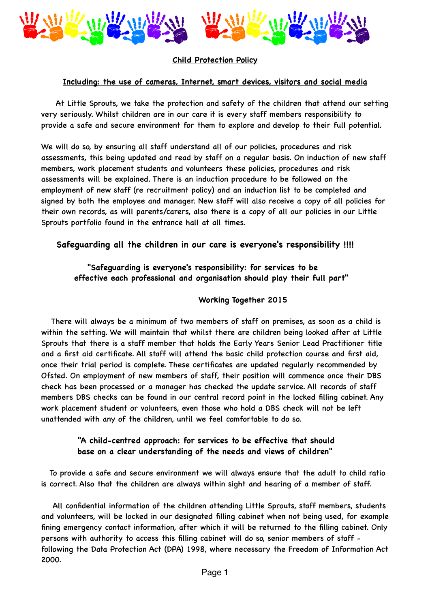

# **Child Protection Policy**

#### **Including: the use of cameras, Internet, smart devices, visitors and social media**

 At Little Sprouts, we take the protection and safety of the children that attend our setting very seriously. Whilst children are in our care it is every staff members responsibility to provide a safe and secure environment for them to explore and develop to their full potential.

We will do so, by ensuring all staff understand all of our policies, procedures and risk assessments, this being updated and read by staff on a regular basis. On induction of new staff members, work placement students and volunteers these policies, procedures and risk assessments will be explained. There is an induction procedure to be followed on the employment of new staff (re recruitment policy) and an induction list to be completed and signed by both the employee and manager. New staff will also receive a copy of all policies for their own records, as will parents/carers, also there is a copy of all our policies in our Little Sprouts portfolio found in the entrance hall at all times.

## **Safeguarding all the children in our care is everyone's responsibility !!!!**

# **"Safeguarding is everyone's responsibility: for services to be effective each professional and organisation should play their full part"**

#### **Working Together 2015**

There will always be a minimum of two members of staff on premises, as soon as a child is within the setting. We will maintain that whilst there are children being looked after at Little Sprouts that there is a staff member that holds the Early Years Senior Lead Practitioner title and a first aid certificate. All staff will attend the basic child protection course and first aid, once their trial period is complete. These certificates are updated regularly recommended by Ofsted. On employment of new members of staff, their position will commence once their DBS check has been processed or a manager has checked the update service. All records of staff members DBS checks can be found in our central record point in the locked filling cabinet. Any work placement student or volunteers, even those who hold a DBS check will not be left unattended with any of the children, until we feel comfortable to do so.

## **"A child-centred approach: for services to be effective that should base on a clear understanding of the needs and views of children"**

 To provide a safe and secure environment we will always ensure that the adult to child ratio is correct. Also that the children are always within sight and hearing of a member of staff.

 All confidential information of the children attending Little Sprouts, staff members, students and volunteers, will be locked in our designated filling cabinet when not being used, for example fining emergency contact information, after which it will be returned to the filling cabinet. Only persons with authority to access this filling cabinet will do so, senior members of staff following the Data Protection Act (DPA) 1998, where necessary the Freedom of Information Act 2000.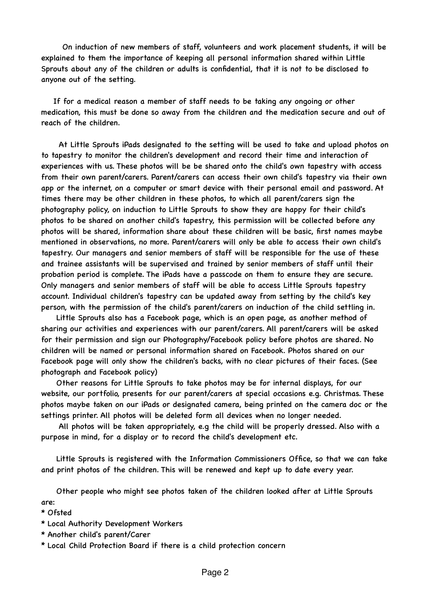On induction of new members of staff, volunteers and work placement students, it will be explained to them the importance of keeping all personal information shared within Little Sprouts about any of the children or adults is confidential, that it is not to be disclosed to anyone out of the setting.

 If for a medical reason a member of staff needs to be taking any ongoing or other medication, this must be done so away from the children and the medication secure and out of reach of the children.

 At Little Sprouts iPads designated to the setting will be used to take and upload photos on to tapestry to monitor the children's development and record their time and interaction of experiences with us. These photos will be be shared onto the child's own tapestry with access from their own parent/carers. Parent/carers can access their own child's tapestry via their own app or the internet, on a computer or smart device with their personal email and password. At times there may be other children in these photos, to which all parent/carers sign the photography policy, on induction to Little Sprouts to show they are happy for their child's photos to be shared on another child's tapestry, this permission will be collected before any photos will be shared, information share about these children will be basic, first names maybe mentioned in observations, no more. Parent/carers will only be able to access their own child's tapestry. Our managers and senior members of staff will be responsible for the use of these and trainee assistants will be supervised and trained by senior members of staff until their probation period is complete. The iPads have a passcode on them to ensure they are secure. Only managers and senior members of staff will be able to access Little Sprouts tapestry account. Individual children's tapestry can be updated away from setting by the child's key person, with the permission of the child's parent/carers on induction of the child settling in.

 Little Sprouts also has a Facebook page, which is an open page, as another method of sharing our activities and experiences with our parent/carers. All parent/carers will be asked for their permission and sign our Photography/Facebook policy before photos are shared. No children will be named or personal information shared on Facebook. Photos shared on our Facebook page will only show the children's backs, with no clear pictures of their faces. (See photograph and Facebook policy)

 Other reasons for Little Sprouts to take photos may be for internal displays, for our website, our portfolio, presents for our parent/carers at special occasions e.g. Christmas. These photos maybe taken on our iPads or designated camera, being printed on the camera doc or the settings printer. All photos will be deleted form all devices when no longer needed.

 All photos will be taken appropriately, e.g the child will be properly dressed. Also with a purpose in mind, for a display or to record the child's development etc.

 Little Sprouts is registered with the Information Commissioners Office, so that we can take and print photos of the children. This will be renewed and kept up to date every year.

 Other people who might see photos taken of the children looked after at Little Sprouts are:

\* Ofsted

- \* Local Authority Development Workers
- \* Another child's parent/Carer
- \* Local Child Protection Board if there is a child protection concern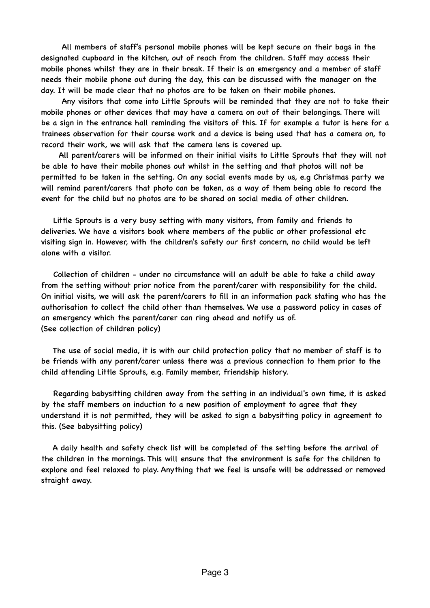All members of staff's personal mobile phones will be kept secure on their bags in the designated cupboard in the kitchen, out of reach from the children. Staff may access their mobile phones whilst they are in their break. If their is an emergency and a member of staff needs their mobile phone out during the day, this can be discussed with the manager on the day. It will be made clear that no photos are to be taken on their mobile phones.

 Any visitors that come into Little Sprouts will be reminded that they are not to take their mobile phones or other devices that may have a camera on out of their belongings. There will be a sign in the entrance hall reminding the visitors of this. If for example a tutor is here for a trainees observation for their course work and a device is being used that has a camera on, to record their work, we will ask that the camera lens is covered up.

 All parent/carers will be informed on their initial visits to Little Sprouts that they will not be able to have their mobile phones out whilst in the setting and that photos will not be permitted to be taken in the setting. On any social events made by us, e.g Christmas party we will remind parent/carers that photo can be taken, as a way of them being able to record the event for the child but no photos are to be shared on social media of other children.

 Little Sprouts is a very busy setting with many visitors, from family and friends to deliveries. We have a visitors book where members of the public or other professional etc visiting sign in. However, with the children's safety our first concern, no child would be left alone with a visitor.

 Collection of children - under no circumstance will an adult be able to take a child away from the setting without prior notice from the parent/carer with responsibility for the child. On initial visits, we will ask the parent/carers to fill in an information pack stating who has the authorisation to collect the child other than themselves. We use a password policy in cases of an emergency which the parent/carer can ring ahead and notify us of. (See collection of children policy)

 The use of social media, it is with our child protection policy that no member of staff is to be friends with any parent/carer unless there was a previous connection to them prior to the child attending Little Sprouts, e.g. Family member, friendship history.

 Regarding babysitting children away from the setting in an individual's own time, it is asked by the staff members on induction to a new position of employment to agree that they understand it is not permitted, they will be asked to sign a babysitting policy in agreement to this. (See babysitting policy)

 A daily health and safety check list will be completed of the setting before the arrival of the children in the mornings. This will ensure that the environment is safe for the children to explore and feel relaxed to play. Anything that we feel is unsafe will be addressed or removed straight away.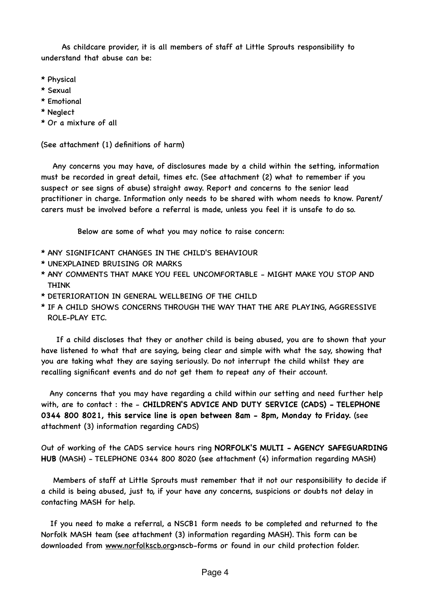As childcare provider, it is all members of staff at Little Sprouts responsibility to understand that abuse can be:

- \* Physical
- \* Sexual
- \* Emotional
- \* Neglect
- \* Or a mixture of all

(See attachment (1) definitions of harm)

 Any concerns you may have, of disclosures made by a child within the setting, information must be recorded in great detail, times etc. (See attachment (2) what to remember if you suspect or see signs of abuse) straight away. Report and concerns to the senior lead practitioner in charge. Information only needs to be shared with whom needs to know. Parent/ carers must be involved before a referral is made, unless you feel it is unsafe to do so.

Below are some of what you may notice to raise concern:

- \* ANY SIGNIFICANT CHANGES IN THE CHILD'S BEHAVIOUR
- \* UNEXPLAINED BRUISING OR MARKS
- \* ANY COMMENTS THAT MAKE YOU FEEL UNCOMFORTABLE MIGHT MAKE YOU STOP AND **THINK**
- \* DETERIORATION IN GENERAL WELLBEING OF THE CHILD
- \* IF A CHILD SHOWS CONCERNS THROUGH THE WAY THAT THE ARE PLAYING, AGGRESSIVE ROLE-PLAY ETC.

 If a child discloses that they or another child is being abused, you are to shown that your have listened to what that are saying, being clear and simple with what the say, showing that you are taking what they are saying seriously. Do not interrupt the child whilst they are recalling significant events and do not get them to repeat any of their account.

 Any concerns that you may have regarding a child within our setting and need further help with, are to contact : the - **CHILDREN'S ADVICE AND DUTY SERVICE (CADS) - TELEPHONE 0344 800 8021, this service line is open between 8am - 8pm, Monday to Friday.** (see attachment (3) information regarding CADS)

Out of working of the CADS service hours ring **NORFOLK'S MULTI - AGENCY SAFEGUARDING HUB** (MASH) - TELEPHONE 0344 800 8020 (see attachment (4) information regarding MASH)

 Members of staff at Little Sprouts must remember that it not our responsibility to decide if a child is being abused, just to, if your have any concerns, suspicions or doubts not delay in contacting MASH for help.

 If you need to make a referral, a NSCB1 form needs to be completed and returned to the Norfolk MASH team (see attachment (3) information regarding MASH). This form can be downloaded from [www.norfolkscb.org](http://www.norfolkscb.org)>nscb-forms or found in our child protection folder.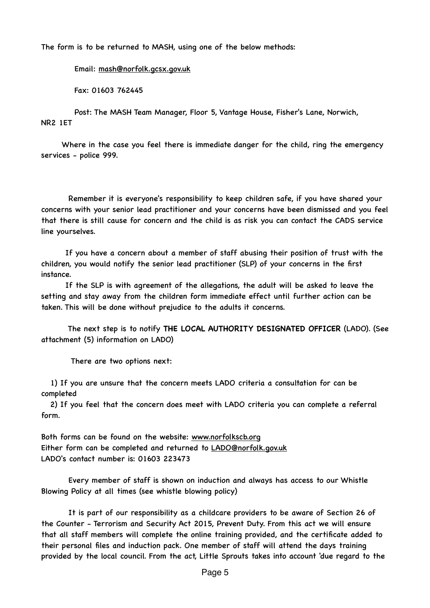The form is to be returned to MASH, using one of the below methods:

Email: [mash@norfolk.gcsx.gov.uk](mailto:mash@norfolk.gcsx.gov.uk)

Fax: 01603 762445

 Post: The MASH Team Manager, Floor 5, Vantage House, Fisher's Lane, Norwich, NR2 1ET

 Where in the case you feel there is immediate danger for the child, ring the emergency services - police 999.

 Remember it is everyone's responsibility to keep children safe, if you have shared your concerns with your senior lead practitioner and your concerns have been dismissed and you feel that there is still cause for concern and the child is as risk you can contact the CADS service line yourselves.

 If you have a concern about a member of staff abusing their position of trust with the children, you would notify the senior lead practitioner (SLP) of your concerns in the first instance.

 If the SLP is with agreement of the allegations, the adult will be asked to leave the setting and stay away from the children form immediate effect until further action can be taken. This will be done without prejudice to the adults it concerns.

 The next step is to notify **THE LOCAL AUTHORITY DESIGNATED OFFICER** (LADO). (See attachment (5) information on LADO)

There are two options next:

 1) If you are unsure that the concern meets LADO criteria a consultation for can be completed

 2) If you feel that the concern does meet with LADO criteria you can complete a referral form.

Both forms can be found on the website: [www.norfolkscb.org](http://www.norfolkscb.org) Either form can be completed and returned to **LADO@norfolk.gov.uk** LADO's contact number is: 01603 223473

 Every member of staff is shown on induction and always has access to our Whistle Blowing Policy at all times (see whistle blowing policy)

 It is part of our responsibility as a childcare providers to be aware of Section 26 of the Counter - Terrorism and Security Act 2015, Prevent Duty. From this act we will ensure that all staff members will complete the online training provided, and the certificate added to their personal files and induction pack. One member of staff will attend the days training provided by the local council. From the act, Little Sprouts takes into account 'due regard to the